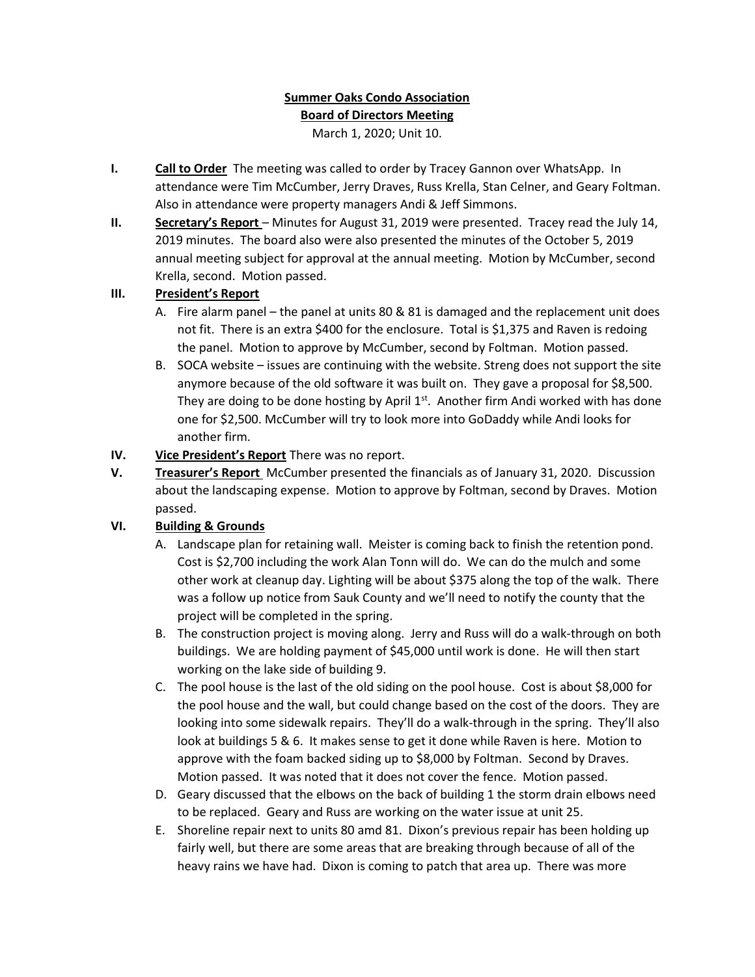# Summer Oaks Condo Association Board of Directors Meeting

March 1, 2020; Unit 10.

- I. Call to Order The meeting was called to order by Tracey Gannon over WhatsApp. In attendance were Tim McCumber, Jerry Draves, Russ Krella, Stan Celner, and Geary Foltman. Also in attendance were property managers Andi & Jeff Simmons.
- II. Secretary's Report Minutes for August 31, 2019 were presented. Tracey read the July 14, 2019 minutes. The board also were also presented the minutes of the October 5, 2019 annual meeting subject for approval at the annual meeting. Motion by McCumber, second Krella, second. Motion passed.

### III. President's Report

- A. Fire alarm panel the panel at units 80 & 81 is damaged and the replacement unit does not fit. There is an extra \$400 for the enclosure. Total is \$1,375 and Raven is redoing the panel. Motion to approve by McCumber, second by Foltman. Motion passed.
- B. SOCA website issues are continuing with the website. Streng does not support the site anymore because of the old software it was built on. They gave a proposal for \$8,500. They are doing to be done hosting by April  $1<sup>st</sup>$ . Another firm Andi worked with has done one for \$2,500. McCumber will try to look more into GoDaddy while Andi looks for another firm.
- IV. Vice President's Report There was no report.
- V. Treasurer's Report McCumber presented the financials as of January 31, 2020. Discussion about the landscaping expense. Motion to approve by Foltman, second by Draves. Motion passed.

## VI. Building & Grounds

- A. Landscape plan for retaining wall. Meister is coming back to finish the retention pond. Cost is \$2,700 including the work Alan Tonn will do. We can do the mulch and some other work at cleanup day. Lighting will be about \$375 along the top of the walk. There was a follow up notice from Sauk County and we'll need to notify the county that the project will be completed in the spring.
- B. The construction project is moving along. Jerry and Russ will do a walk-through on both buildings. We are holding payment of \$45,000 until work is done. He will then start working on the lake side of building 9.
- C. The pool house is the last of the old siding on the pool house. Cost is about \$8,000 for the pool house and the wall, but could change based on the cost of the doors. They are looking into some sidewalk repairs. They'll do a walk-through in the spring. They'll also look at buildings 5 & 6. It makes sense to get it done while Raven is here. Motion to approve with the foam backed siding up to \$8,000 by Foltman. Second by Draves. Motion passed. It was noted that it does not cover the fence. Motion passed.
- D. Geary discussed that the elbows on the back of building 1 the storm drain elbows need to be replaced. Geary and Russ are working on the water issue at unit 25.
- E. Shoreline repair next to units 80 amd 81. Dixon's previous repair has been holding up fairly well, but there are some areas that are breaking through because of all of the heavy rains we have had. Dixon is coming to patch that area up. There was more